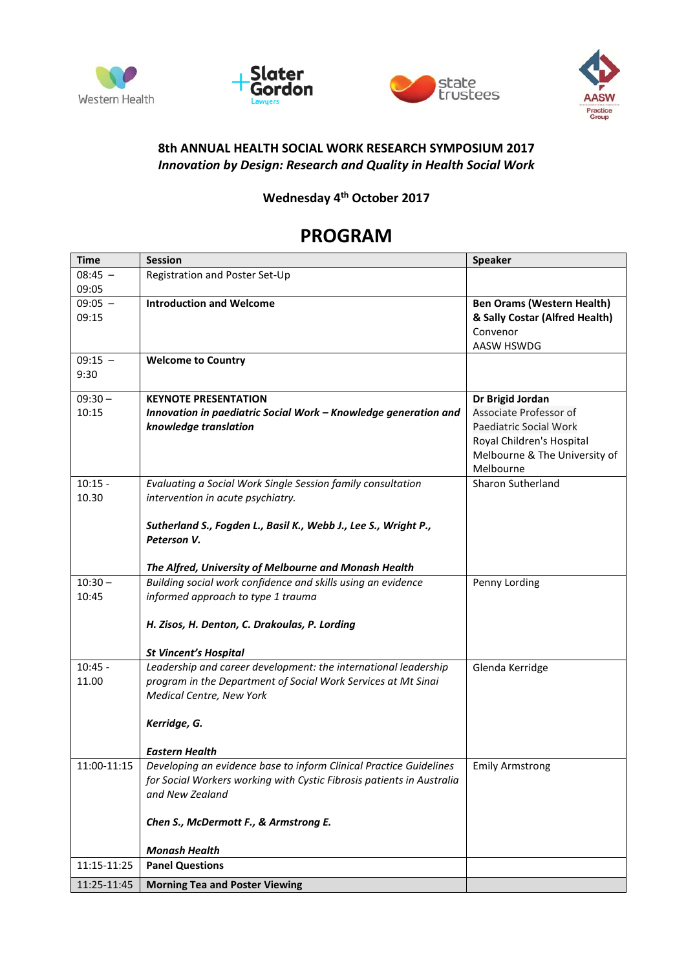







## **8th ANNUAL HEALTH SOCIAL WORK RESEARCH SYMPOSIUM 2017** *Innovation by Design: Research and Quality in Health Social Work*

**Wednesday 4th October 2017**

## **PROGRAM**

| <b>Time</b> | <b>Session</b>                                                                                  | <b>Speaker</b>                    |
|-------------|-------------------------------------------------------------------------------------------------|-----------------------------------|
| $08:45 -$   | Registration and Poster Set-Up                                                                  |                                   |
| 09:05       |                                                                                                 |                                   |
| $09:05 -$   | <b>Introduction and Welcome</b>                                                                 | <b>Ben Orams (Western Health)</b> |
| 09:15       |                                                                                                 | & Sally Costar (Alfred Health)    |
|             |                                                                                                 | Convenor                          |
|             |                                                                                                 | AASW HSWDG                        |
| $09:15 -$   | <b>Welcome to Country</b>                                                                       |                                   |
| 9:30        |                                                                                                 |                                   |
|             |                                                                                                 |                                   |
| $09:30 -$   | <b>KEYNOTE PRESENTATION</b>                                                                     | Dr Brigid Jordan                  |
| 10:15       | Innovation in paediatric Social Work - Knowledge generation and                                 | Associate Professor of            |
|             | knowledge translation                                                                           | Paediatric Social Work            |
|             |                                                                                                 | Royal Children's Hospital         |
|             |                                                                                                 | Melbourne & The University of     |
|             |                                                                                                 | Melbourne                         |
| $10:15 -$   | Evaluating a Social Work Single Session family consultation                                     | <b>Sharon Sutherland</b>          |
| 10.30       | intervention in acute psychiatry.                                                               |                                   |
|             |                                                                                                 |                                   |
|             | Sutherland S., Fogden L., Basil K., Webb J., Lee S., Wright P.,                                 |                                   |
|             | Peterson V.                                                                                     |                                   |
|             |                                                                                                 |                                   |
|             | The Alfred, University of Melbourne and Monash Health                                           |                                   |
| $10:30 -$   | Building social work confidence and skills using an evidence                                    | Penny Lording                     |
| 10:45       | informed approach to type 1 trauma                                                              |                                   |
|             |                                                                                                 |                                   |
|             | H. Zisos, H. Denton, C. Drakoulas, P. Lording                                                   |                                   |
|             |                                                                                                 |                                   |
| $10:45 -$   | <b>St Vincent's Hospital</b><br>Leadership and career development: the international leadership |                                   |
|             |                                                                                                 | Glenda Kerridge                   |
| 11.00       | program in the Department of Social Work Services at Mt Sinai                                   |                                   |
|             | <b>Medical Centre, New York</b>                                                                 |                                   |
|             |                                                                                                 |                                   |
|             | Kerridge, G.                                                                                    |                                   |
|             | <b>Eastern Health</b>                                                                           |                                   |
| 11:00-11:15 | Developing an evidence base to inform Clinical Practice Guidelines                              | <b>Emily Armstrong</b>            |
|             | for Social Workers working with Cystic Fibrosis patients in Australia                           |                                   |
|             | and New Zealand                                                                                 |                                   |
|             |                                                                                                 |                                   |
|             | Chen S., McDermott F., & Armstrong E.                                                           |                                   |
|             |                                                                                                 |                                   |
|             | <b>Monash Health</b>                                                                            |                                   |
| 11:15-11:25 | <b>Panel Questions</b>                                                                          |                                   |
|             |                                                                                                 |                                   |
| 11:25-11:45 | <b>Morning Tea and Poster Viewing</b>                                                           |                                   |